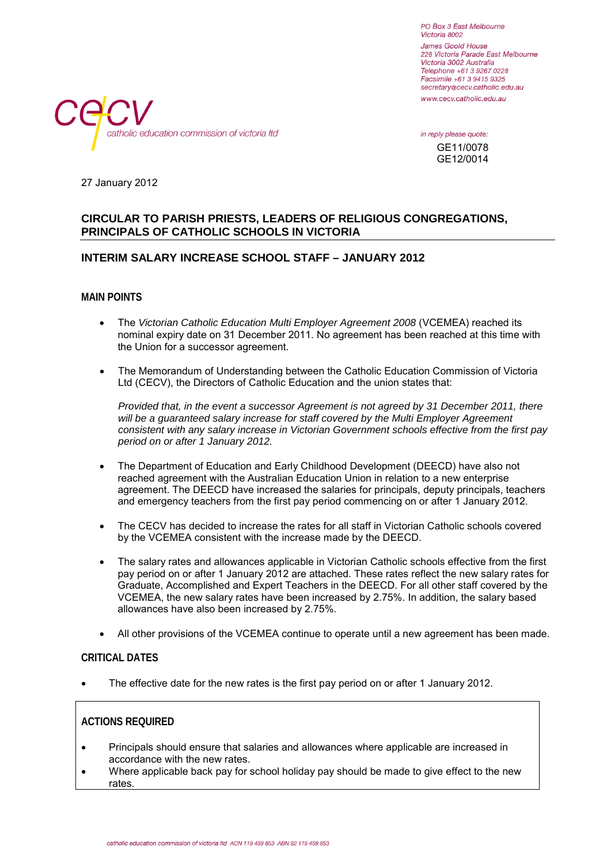PO Box 3 East Melbourne Victoria 8002 James Goold House 228 Victoria Parade East Melbourne Victoria 3002 Australia Telephone +61 3 9267 0228 Facsimile +61 3 9415 9325 secretary@cecv.catholic.edu.au www.cecv.catholic.edu.au



in reply please quote: GE11/0078 GE12/0014

27 January 2012

#### **CIRCULAR TO PARISH PRIESTS, LEADERS OF RELIGIOUS CONGREGATIONS, PRINCIPALS OF CATHOLIC SCHOOLS IN VICTORIA**

#### **INTERIM SALARY INCREASE SCHOOL STAFF – JANUARY 2012**

**MAIN POINTS**

- The *Victorian Catholic Education Multi Employer Agreement 2008* (VCEMEA) reached its nominal expiry date on 31 December 2011. No agreement has been reached at this time with the Union for a successor agreement.
- The Memorandum of Understanding between the Catholic Education Commission of Victoria Ltd (CECV), the Directors of Catholic Education and the union states that:

*Provided that, in the event a successor Agreement is not agreed by 31 December 2011, there will be a guaranteed salary increase for staff covered by the Multi Employer Agreement consistent with any salary increase in Victorian Government schools effective from the first pay period on or after 1 January 2012.*

- The Department of Education and Early Childhood Development (DEECD) have also not reached agreement with the Australian Education Union in relation to a new enterprise agreement. The DEECD have increased the salaries for principals, deputy principals, teachers and emergency teachers from the first pay period commencing on or after 1 January 2012.
- The CECV has decided to increase the rates for all staff in Victorian Catholic schools covered by the VCEMEA consistent with the increase made by the DEECD.
- The salary rates and allowances applicable in Victorian Catholic schools effective from the first pay period on or after 1 January 2012 are attached. These rates reflect the new salary rates for Graduate, Accomplished and Expert Teachers in the DEECD. For all other staff covered by the VCEMEA, the new salary rates have been increased by 2.75%. In addition, the salary based allowances have also been increased by 2.75%.
- All other provisions of the VCEMEA continue to operate until a new agreement has been made.

#### **CRITICAL DATES**

The effective date for the new rates is the first pay period on or after 1 January 2012.

#### **ACTIONS REQUIRED**

- Principals should ensure that salaries and allowances where applicable are increased in accordance with the new rates.
- Where applicable back pay for school holiday pay should be made to give effect to the new rates.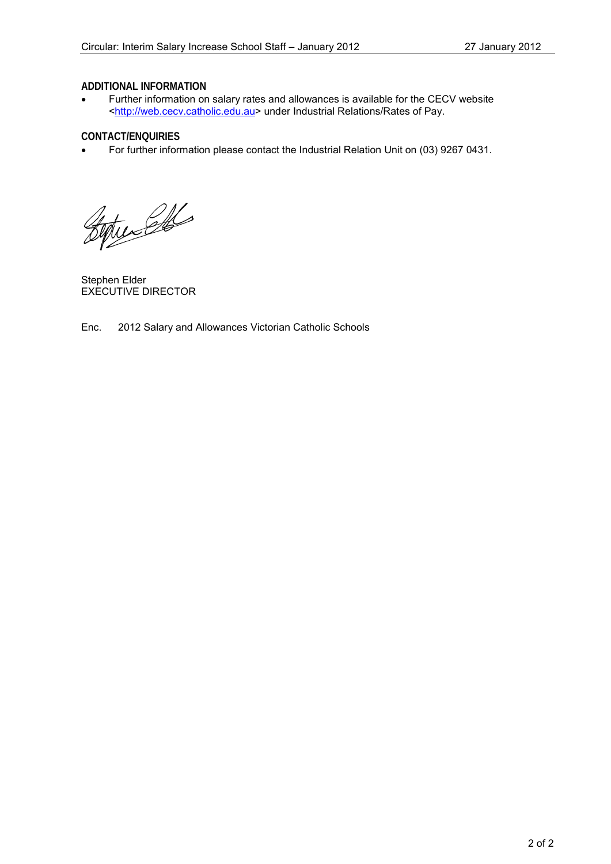#### **ADDITIONAL INFORMATION**

• Further information on salary rates and allowances is available for the CECV website [<http://web.cecv.catholic.edu.au>](http://web.cecv.catholic.edu.au/) under Industrial Relations/Rates of Pay.

#### **CONTACT/ENQUIRIES**

• For further information please contact the Industrial Relation Unit on (03) 9267 0431.

Bytunel

Stephen Elder EXECUTIVE DIRECTOR

Enc. 2012 Salary and Allowances Victorian Catholic Schools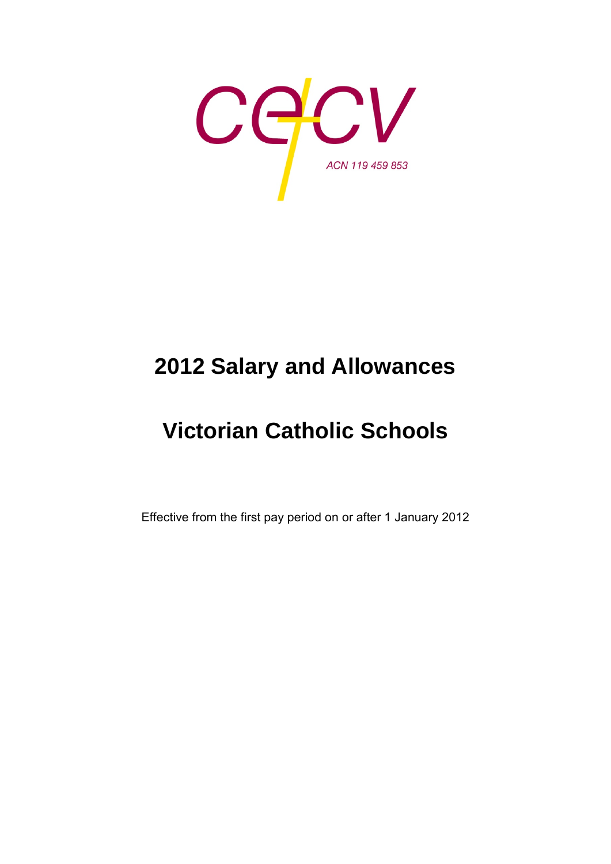

# **2012 Salary and Allowances**

# **Victorian Catholic Schools**

Effective from the first pay period on or after 1 January 2012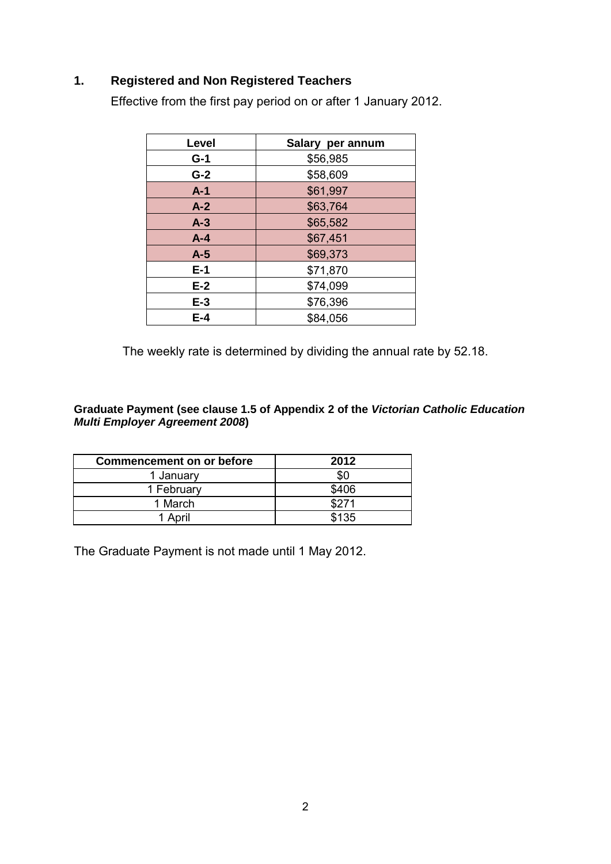## **1. Registered and Non Registered Teachers**

Effective from the first pay period on or after 1 January 2012.

| Level   | Salary per annum |
|---------|------------------|
| $G-1$   | \$56,985         |
| $G-2$   | \$58,609         |
| $A-1$   | \$61,997         |
| $A-2$   | \$63,764         |
| $A-3$   | \$65,582         |
| $A - 4$ | \$67,451         |
| $A-5$   | \$69,373         |
| $E-1$   | \$71,870         |
| $E-2$   | \$74,099         |
| $E-3$   | \$76,396         |
| E-4     | \$84,056         |

The weekly rate is determined by dividing the annual rate by 52.18.

**Graduate Payment (see clause 1.5 of Appendix 2 of the** *Victorian Catholic Education Multi Employer Agreement 2008***)** 

| <b>Commencement on or before</b> | 2012  |
|----------------------------------|-------|
| 1 January                        | \$0   |
| 1 February                       | \$406 |
| 1 March                          | \$271 |
| 1 April                          | \$135 |

The Graduate Payment is not made until 1 May 2012.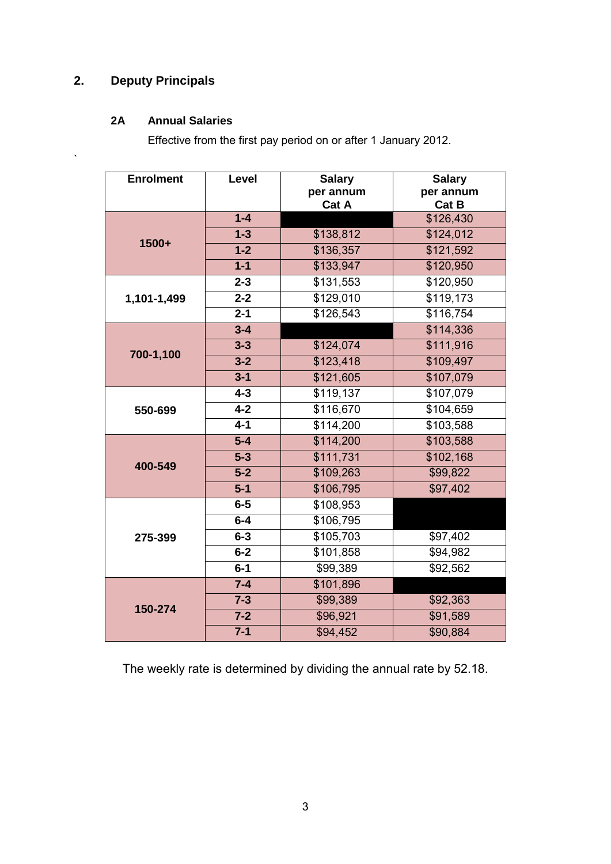# **2. Deputy Principals**

 $\ddot{\phantom{0}}$ 

## **2A Annual Salaries**

Effective from the first pay period on or after 1 January 2012.

| <b>Enrolment</b> | Level   | <b>Salary</b>         | <b>Salary</b> |
|------------------|---------|-----------------------|---------------|
|                  |         | per annum             | per annum     |
|                  |         | Cat A                 | Cat B         |
|                  | $1 - 4$ |                       | \$126,430     |
| 1500+            | $1 - 3$ | \$138,812             | \$124,012     |
|                  | $1 - 2$ | \$136,357             | \$121,592     |
|                  | $1 - 1$ | \$133,947             | \$120,950     |
|                  | $2 - 3$ | \$131,553             | \$120,950     |
| 1,101-1,499      | $2 - 2$ | \$129,010             | \$119,173     |
|                  | $2 - 1$ | \$126,543             | \$116,754     |
|                  | $3 - 4$ |                       | \$114,336     |
| 700-1,100        | $3 - 3$ | \$124,074             | \$111,916     |
|                  | $3 - 2$ | \$123,418             | \$109,497     |
|                  | $3 - 1$ | \$121,605             | \$107,079     |
|                  | $4 - 3$ | \$119,137             | \$107,079     |
| 550-699          | $4 - 2$ | \$116,670             | \$104,659     |
|                  | $4 - 1$ | \$114,200             | \$103,588     |
|                  | $5-4$   | \$114,200             | \$103,588     |
| 400-549          | $5 - 3$ | $\overline{$}111,731$ | \$102,168     |
|                  | $5 - 2$ | \$109,263             | \$99,822      |
|                  | $5-1$   | \$106,795             | \$97,402      |
|                  | $6-5$   | \$108,953             |               |
|                  | $6-4$   | \$106,795             |               |
| 275-399          | $6 - 3$ | \$105,703             | \$97,402      |
|                  | $6 - 2$ | \$101,858             | \$94,982      |
|                  | $6-1$   | \$99,389              | \$92,562      |
|                  | $7 - 4$ | \$101,896             |               |
| 150-274          | $7 - 3$ | \$99,389              | \$92,363      |
|                  | $7 - 2$ | \$96,921              | \$91,589      |
|                  | $7 - 1$ | \$94,452              | \$90,884      |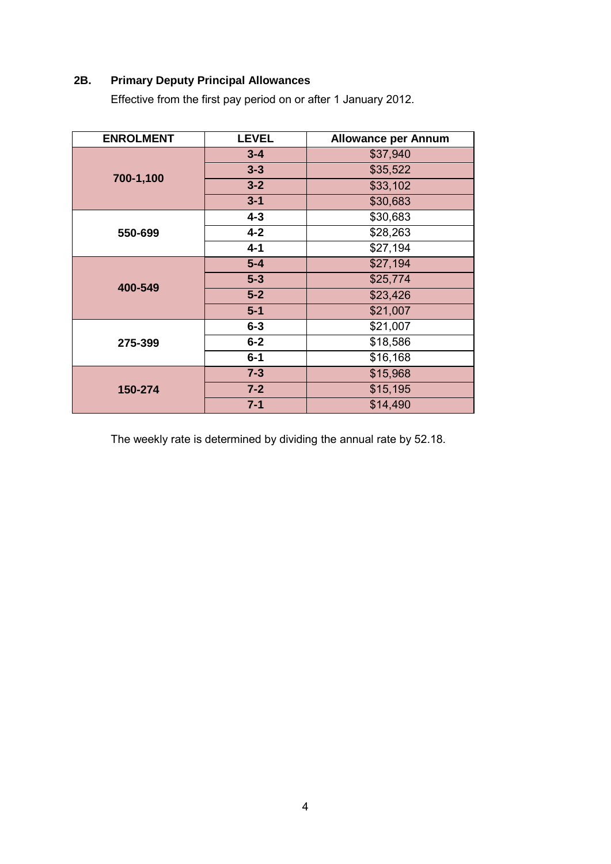## **2B. Primary Deputy Principal Allowances**

Effective from the first pay period on or after 1 January 2012.

| <b>ENROLMENT</b>                         | <b>LEVEL</b> | <b>Allowance per Annum</b> |
|------------------------------------------|--------------|----------------------------|
|                                          | $3 - 4$      | \$37,940                   |
|                                          | $3 - 3$      | \$35,522                   |
| 700-1,100                                | $3 - 2$      | \$33,102                   |
|                                          | $3 - 1$      | \$30,683                   |
|                                          | $4 - 3$      | \$30,683                   |
| 550-699                                  | $4 - 2$      | \$28,263                   |
|                                          | $4 - 1$      | \$27,194                   |
| 400-549                                  | $5-4$        | \$27,194                   |
|                                          | $5-3$        | \$25,774                   |
|                                          | $5-2$        | \$23,426                   |
|                                          | $5-1$        | \$21,007                   |
| $6 - 3$<br>$6 - 2$<br>275-399<br>$6 - 1$ |              | \$21,007                   |
|                                          |              | \$18,586                   |
|                                          |              | \$16,168                   |
| 150-274                                  | $7 - 3$      | \$15,968                   |
|                                          | $7 - 2$      | \$15,195                   |
|                                          | $7 - 1$      | \$14,490                   |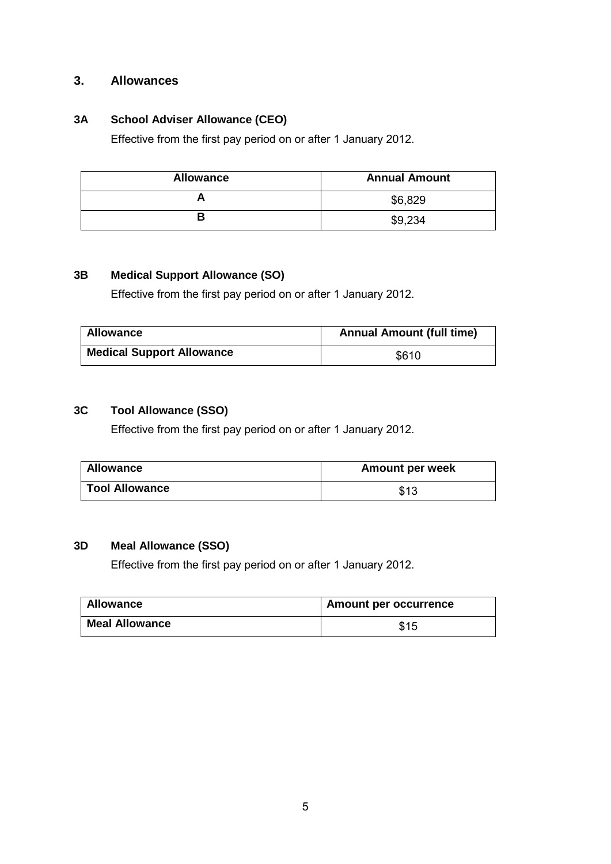## **3. Allowances**

#### **3A School Adviser Allowance (CEO)**

Effective from the first pay period on or after 1 January 2012.

| <b>Allowance</b> | <b>Annual Amount</b> |
|------------------|----------------------|
|                  | \$6,829              |
|                  | \$9,234              |

#### **3B Medical Support Allowance (SO)**

Effective from the first pay period on or after 1 January 2012.

| <b>Allowance</b>                 | <b>Annual Amount (full time)</b> |
|----------------------------------|----------------------------------|
| <b>Medical Support Allowance</b> | \$610                            |

#### **3C Tool Allowance (SSO)**

Effective from the first pay period on or after 1 January 2012.

| <b>Allowance</b>      | <b>Amount per week</b> |
|-----------------------|------------------------|
| <b>Tool Allowance</b> | \$13                   |

#### **3D Meal Allowance (SSO)**

Effective from the first pay period on or after 1 January 2012.

| <b>Allowance</b>      | <b>Amount per occurrence</b> |
|-----------------------|------------------------------|
| <b>Meal Allowance</b> | \$15                         |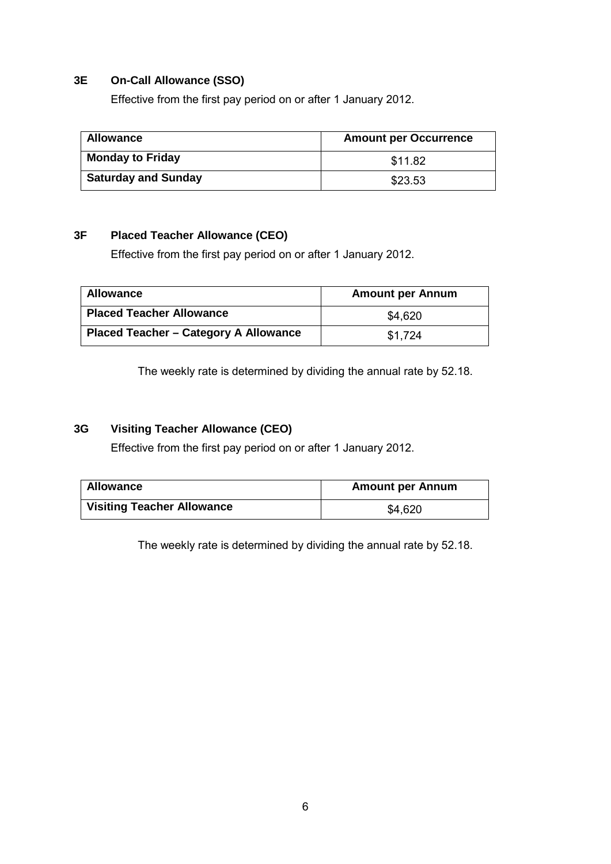#### **3E On-Call Allowance (SSO)**

Effective from the first pay period on or after 1 January 2012.

| <b>Allowance</b>           | <b>Amount per Occurrence</b> |
|----------------------------|------------------------------|
| <b>Monday to Friday</b>    | \$11.82                      |
| <b>Saturday and Sunday</b> | \$23.53                      |

## **3F Placed Teacher Allowance (CEO)**

Effective from the first pay period on or after 1 January 2012.

| Allowance                             | <b>Amount per Annum</b> |
|---------------------------------------|-------------------------|
| <b>Placed Teacher Allowance</b>       | \$4,620                 |
| Placed Teacher - Category A Allowance | \$1.724                 |

The weekly rate is determined by dividing the annual rate by 52.18.

#### **3G Visiting Teacher Allowance (CEO)**

Effective from the first pay period on or after 1 January 2012.

| <b>Allowance</b>                  | <b>Amount per Annum</b> |
|-----------------------------------|-------------------------|
| <b>Visiting Teacher Allowance</b> | \$4,620                 |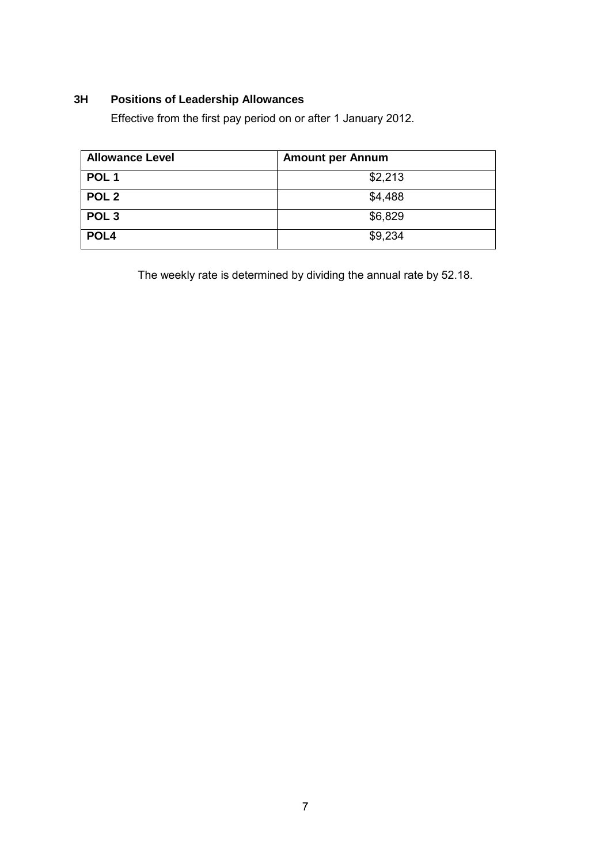## **3H Positions of Leadership Allowances**

Effective from the first pay period on or after 1 January 2012.

| <b>Allowance Level</b> | <b>Amount per Annum</b> |
|------------------------|-------------------------|
| POL <sub>1</sub>       | \$2,213                 |
| POL <sub>2</sub>       | \$4,488                 |
| POL <sub>3</sub>       | \$6,829                 |
| POL <sub>4</sub>       | \$9,234                 |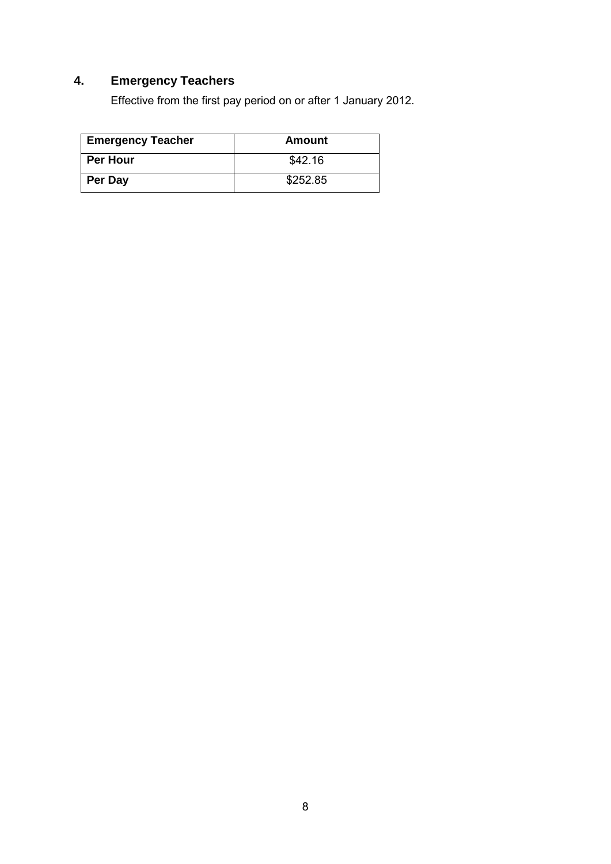# **4. Emergency Teachers**

Effective from the first pay period on or after 1 January 2012.

| <b>Emergency Teacher</b> | Amount   |
|--------------------------|----------|
| <b>Per Hour</b>          | \$42.16  |
| <b>Per Day</b>           | \$252.85 |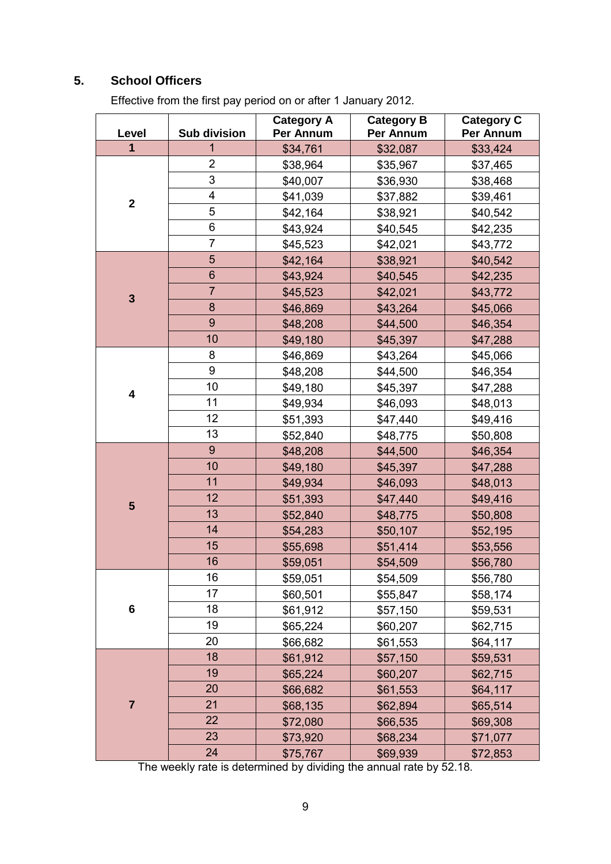# **5. School Officers**

Effective from the first pay period on or after 1 January 2012.

| Level          | <b>Sub division</b> | <b>Category A</b><br>Per Annum | <b>Category B</b><br>Per Annum | <b>Category C</b><br>Per Annum |
|----------------|---------------------|--------------------------------|--------------------------------|--------------------------------|
| $\mathbf 1$    | 1                   | \$34,761                       | \$32,087                       | \$33,424                       |
| $\mathbf{2}$   | $\overline{2}$      | \$38,964                       | \$35,967                       | \$37,465                       |
|                | 3                   | \$40,007                       | \$36,930                       | \$38,468                       |
|                | 4                   | \$41,039                       | \$37,882                       | \$39,461                       |
|                | 5                   | \$42,164                       | \$38,921                       | \$40,542                       |
|                | 6                   | \$43,924                       | \$40,545                       | \$42,235                       |
|                | $\overline{7}$      | \$45,523                       | \$42,021                       | \$43,772                       |
|                | 5                   | \$42,164                       | \$38,921                       | \$40,542                       |
|                | $\,$ 6 $\,$         | \$43,924                       | \$40,545                       | \$42,235                       |
| $\mathbf{3}$   | $\overline{7}$      | \$45,523                       | \$42,021                       | \$43,772                       |
|                | $\bf 8$             | \$46,869                       | \$43,264                       | \$45,066                       |
|                | 9                   | \$48,208                       | \$44,500                       | \$46,354                       |
|                | 10                  | \$49,180                       | \$45,397                       | \$47,288                       |
|                | 8                   | \$46,869                       | \$43,264                       | \$45,066                       |
|                | 9                   | \$48,208                       | \$44,500                       | \$46,354                       |
| 4              | 10                  | \$49,180                       | \$45,397                       | \$47,288                       |
|                | 11                  | \$49,934                       | \$46,093                       | \$48,013                       |
|                | 12                  | \$51,393                       | \$47,440                       | \$49,416                       |
|                | 13                  | \$52,840                       | \$48,775                       | \$50,808                       |
|                | 9                   | \$48,208                       | \$44,500                       | \$46,354                       |
|                | 10                  | \$49,180                       | \$45,397                       | \$47,288                       |
|                | 11                  | \$49,934                       | \$46,093                       | \$48,013                       |
| $5\phantom{1}$ | 12                  | \$51,393                       | \$47,440                       | \$49,416                       |
|                | 13                  | \$52,840                       | \$48,775                       | \$50,808                       |
|                | 14                  | \$54,283                       | \$50,107                       | \$52,195                       |
|                | 15                  | \$55,698                       | \$51,414                       | \$53,556                       |
|                | 16                  | \$59,051                       | \$54,509                       | \$56,780                       |
|                | 16                  | \$59,051                       | \$54,509                       | \$56,780                       |
|                | 17                  | \$60,501                       | \$55,847                       | \$58,174                       |
| $\bf 6$        | 18                  | \$61,912                       | \$57,150                       | \$59,531                       |
|                | 19                  | \$65,224                       | \$60,207                       | \$62,715                       |
|                | 20                  | \$66,682                       | \$61,553                       | \$64,117                       |
| $\overline{7}$ | 18                  | \$61,912                       | \$57,150                       | \$59,531                       |
|                | 19                  | \$65,224                       | \$60,207                       | \$62,715                       |
|                | 20                  | \$66,682                       | \$61,553                       | \$64,117                       |
|                | 21                  | \$68,135                       | \$62,894                       | \$65,514                       |
|                | 22                  | \$72,080                       | \$66,535                       | \$69,308                       |
|                | 23                  | \$73,920                       | \$68,234                       | \$71,077                       |
|                | 24                  | \$75,767                       | \$69,939                       | \$72,853                       |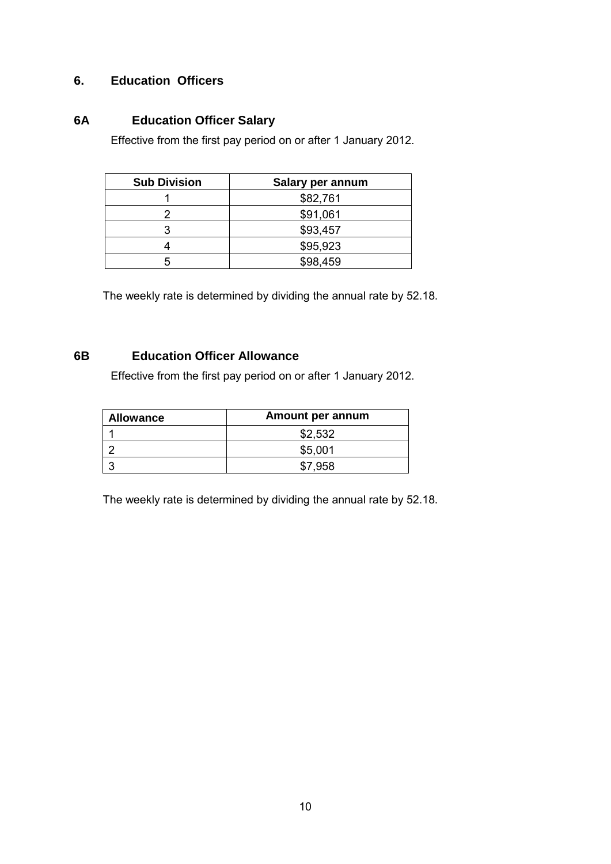## **6. Education Officers**

# **6A Education Officer Salary**

Effective from the first pay period on or after 1 January 2012.

| <b>Sub Division</b> | Salary per annum |
|---------------------|------------------|
|                     | \$82,761         |
|                     | \$91,061         |
|                     | \$93,457         |
|                     | \$95,923         |
|                     | \$98,459         |

The weekly rate is determined by dividing the annual rate by 52.18.

### **6B Education Officer Allowance**

Effective from the first pay period on or after 1 January 2012.

| <b>Allowance</b> | Amount per annum |  |  |
|------------------|------------------|--|--|
|                  | \$2,532          |  |  |
|                  | \$5,001          |  |  |
|                  | 958              |  |  |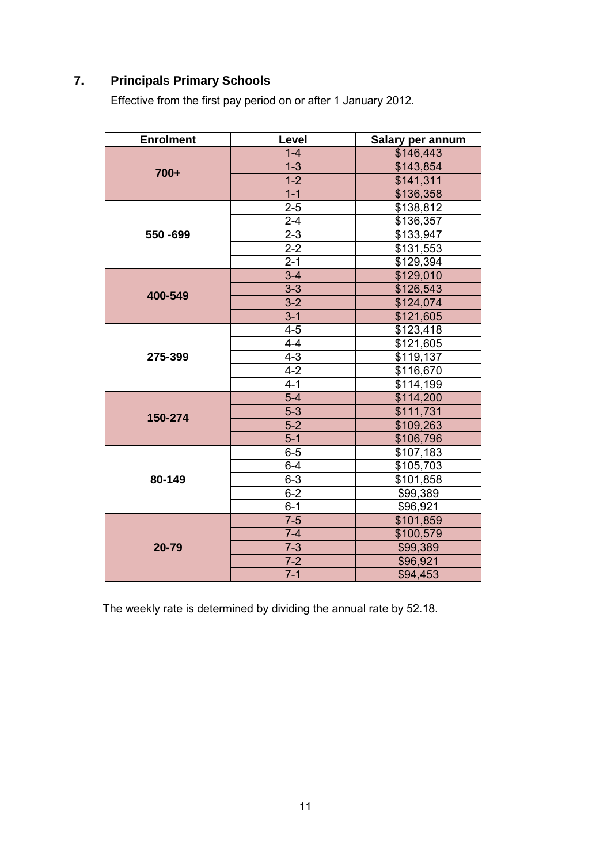# **7. Principals Primary Schools**

Effective from the first pay period on or after 1 January 2012.

| <b>Enrolment</b> | Level   | Salary per annum |
|------------------|---------|------------------|
| $700+$           | $1 - 4$ | \$146,443        |
|                  | $1-3$   | \$143,854        |
|                  | $1 - 2$ | \$141,311        |
|                  | $1 - 1$ | \$136,358        |
|                  | $2 - 5$ | \$138,812        |
|                  | $2 - 4$ | \$136,357        |
| 550 - 699        | $2 - 3$ | \$133,947        |
|                  | $2-2$   | \$131,553        |
|                  | $2 - 1$ | \$129,394        |
|                  | $3 - 4$ | \$129,010        |
| 400-549          | $3 - 3$ | \$126,543        |
|                  | $3-2$   | \$124,074        |
|                  | $3 - 1$ | \$121,605        |
|                  | $4 - 5$ | \$123,418        |
|                  | $4 - 4$ | \$121,605        |
| 275-399          | $4 - 3$ | \$119,137        |
|                  | $4-2$   | \$116,670        |
|                  | $4 - 1$ | \$114,199        |
|                  | $5-4$   | \$114,200        |
| 150-274          | $5 - 3$ | \$111,731        |
|                  | $5-2$   | \$109,263        |
|                  | $5-1$   | \$106,796        |
|                  | $6-5$   | \$107,183        |
|                  | $6 - 4$ | \$105,703        |
| 80-149           | $6 - 3$ | \$101,858        |
|                  | $6 - 2$ | \$99,389         |
|                  | $6 - 1$ | \$96,921         |
| 20-79            | $7 - 5$ | \$101,859        |
|                  | $7 - 4$ | \$100,579        |
|                  | $7 - 3$ | \$99,389         |
|                  | $7 - 2$ | \$96,921         |
|                  | $7 - 1$ | \$94,453         |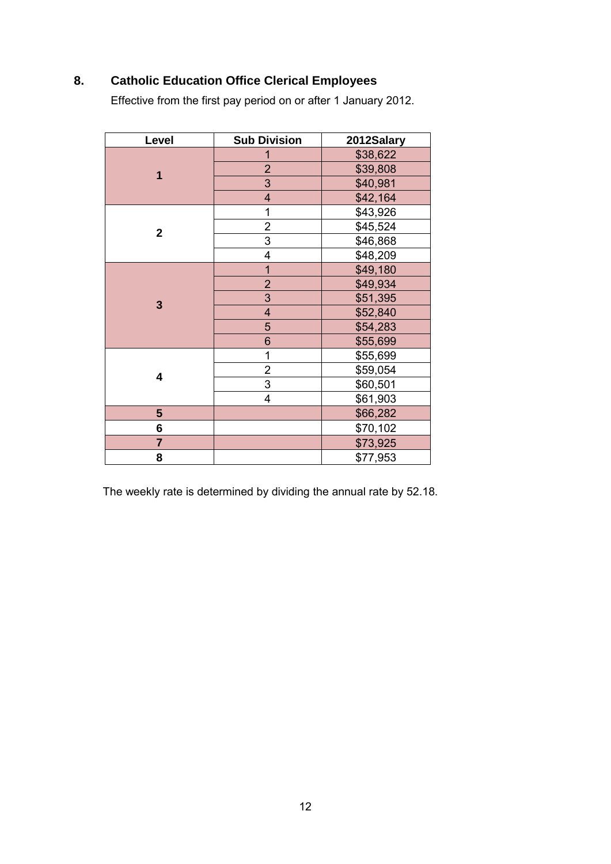# **8. Catholic Education Office Clerical Employees**

Effective from the first pay period on or after 1 January 2012.

| Level          | <b>Sub Division</b>     | 2012Salary |
|----------------|-------------------------|------------|
| 1              | 1                       | \$38,622   |
|                | $\overline{2}$          | \$39,808   |
|                | 3                       | \$40,981   |
|                | $\overline{\mathbf{4}}$ | \$42,164   |
|                | 1                       | \$43,926   |
| $\mathbf 2$    | $\overline{2}$          | \$45,524   |
|                | 3                       | \$46,868   |
|                | 4                       | \$48,209   |
|                | $\mathbf{1}$            | \$49,180   |
|                | $\overline{2}$          | \$49,934   |
| 3              | 3                       | \$51,395   |
|                | $\overline{\mathbf{4}}$ | \$52,840   |
|                | 5                       | \$54,283   |
|                | 6                       | \$55,699   |
| 4              | 1                       | \$55,699   |
|                | 2                       | \$59,054   |
|                | 3                       | \$60,501   |
|                | 4                       | \$61,903   |
| 5              |                         | \$66,282   |
| 6              |                         | \$70,102   |
| $\overline{7}$ |                         | \$73,925   |
| 8              |                         | \$77,953   |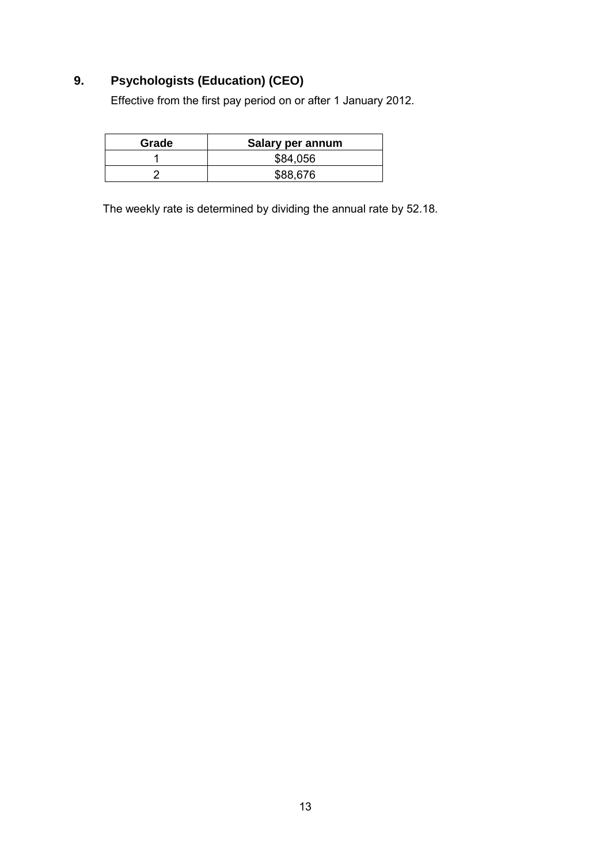# **9. Psychologists (Education) (CEO)**

Effective from the first pay period on or after 1 January 2012.

| Grade | Salary per annum |
|-------|------------------|
|       | \$84,056         |
|       | \$88,676         |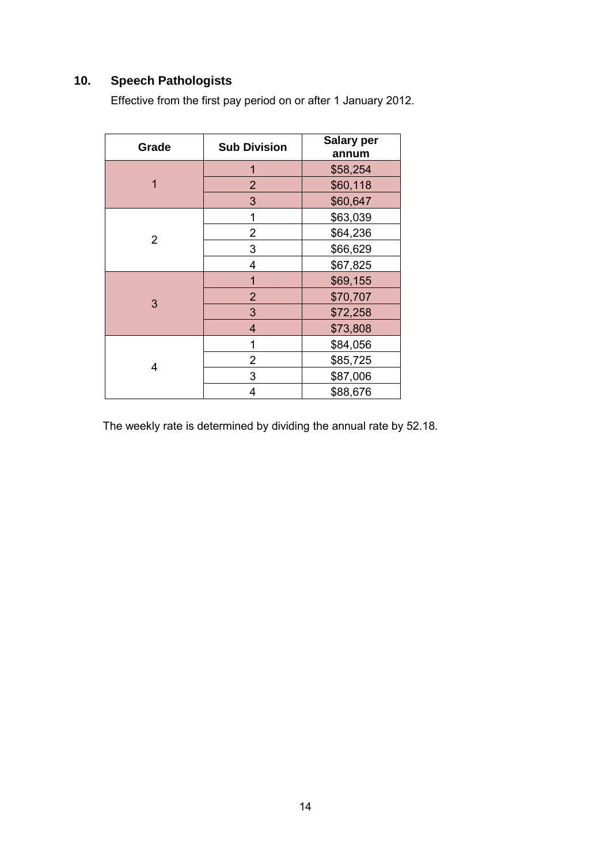# **10. Speech Pathologists**

Effective from the first pay period on or after 1 January 2012.

| Grade          | <b>Sub Division</b> | <b>Salary per</b><br>annum |
|----------------|---------------------|----------------------------|
|                | 1                   | \$58,254                   |
| 1              | $\overline{2}$      | \$60,118                   |
|                | 3                   | \$60,647                   |
|                | 1                   | \$63,039                   |
| $\overline{2}$ | 2                   | \$64,236                   |
|                | 3                   | \$66,629                   |
|                | 4                   | \$67,825                   |
| 3              | 1                   | \$69,155                   |
|                | $\overline{2}$      | \$70,707                   |
|                | 3                   | \$72,258                   |
|                | 4                   | \$73,808                   |
| 4              | 1                   | \$84,056                   |
|                | 2                   | \$85,725                   |
|                | 3                   | \$87,006                   |
|                | 4                   | \$88,676                   |